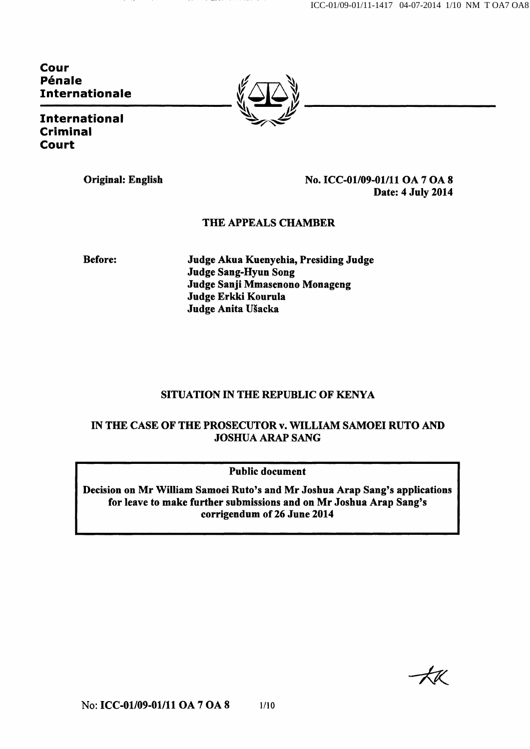ICC-01/09-01/11-1417 04-07-2014 1/10 NM T OA7 OA8

Cour Pénale Internationale

International Criminal **Court** 



Original: English No. ICC-01/09-01/11 OA 7 OA 8 Date: 4 July 2014

### THE APPEALS CHAMBER

Before: Judge Akua Kuenyehia, Presiding Judge Judge Sang-Hyun Song Judge Sanji Mmasenono Monageng Judge Erkki Kourula Judge Anita Ušacka

# SITUATION IN THE REPUBLIC OF KENYA

### IN THE CASE OF THE PROSECUTOR v. WILLIAM SAMOEI RUTO AND JOSHUA ARAP SANG

Public document

Decision on Mr William Samoei Ruto's and Mr Joshua Arap Sang's applications for leave to make further submissions and on Mr Joshua Arap Sang's corrigendum of 26 June 2014

 $-AK$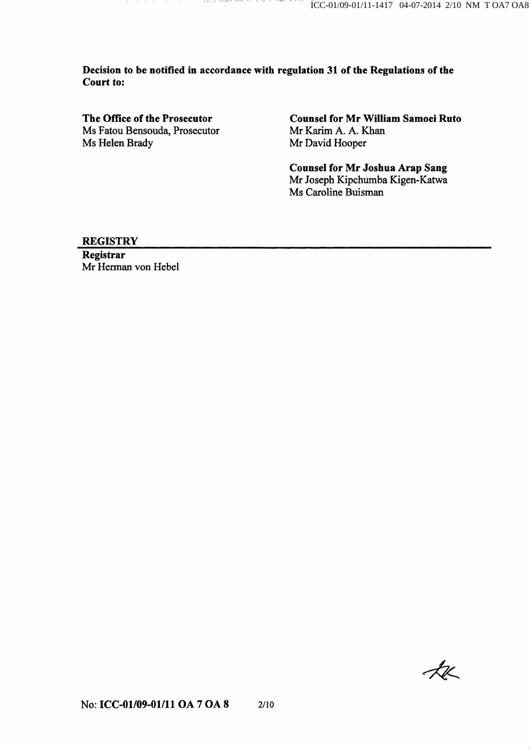Decision to be notified in accordance with regulation 31 of the Regulations of the Court to:

 $\cdots$ 

**The age to contrar** 

The Office of the Prosecutor Ms Fatou Bensouda, Prosecutor Ms Helen Brady

Counsel for Mr William Samoei Ruto Mr Karim A. A. Khan Mr David Hooper

Counsel for Mr Joshua Arap Sang Mr Joseph Kipchumba Kigen-Katwa Ms Caroline Buisman

#### **REGISTRY**

Registrar Mr Herman von Hebel

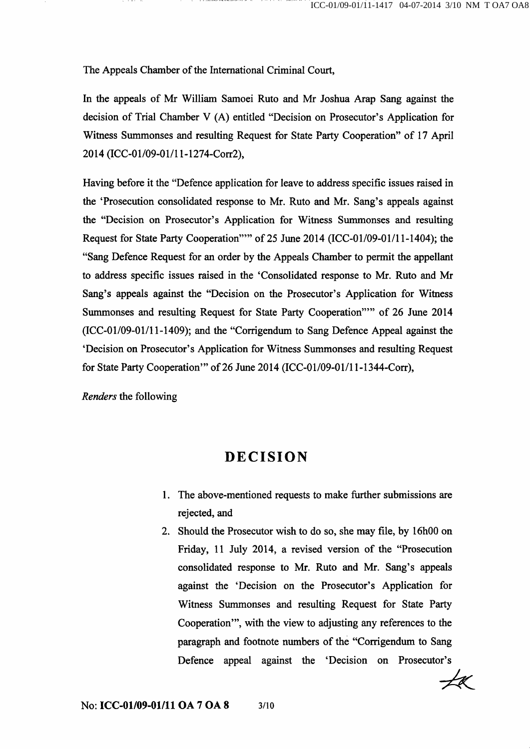The Appeals Chamber of the International Criminal Court,

In the appeals of Mr William Samoei Ruto and Mr Joshua Arap Sang against the decision of Trial Chamber V (A) entitled "Decision on Prosecutor's Application for Witness Summonses and resulting Request for State Party Cooperation" of 17 April 2014 (ICC-01/09-01/1 l-1274-Corr2),

Having before it the "Defence application for leave to address specific issues raised in the 'Prosecution consolidated response to Mr. Ruto and Mr. Sang's appeals against the "Decision on Prosecutor's Application for Witness Summonses and resulting Request for State Party Cooperation'"" of 25 June 2014 (ICC-01/09-01/11-1404); the "Sang Defence Request for an order by the Appeals Chamber to permit the appellant to address specific issues raised in the 'Consolidated response to Mr. Ruto and Mr Sang's appeals against the "Decision on the Prosecutor's Application for Witness Summonses and resulting Request for State Party Cooperation'"" of 26 June 2014 (ICC-01/09-01/11-1409); and the "Corrigendum to Sang Defence Appeal against the 'Decision on Prosecutor's Application for Witness Summonses and resulting Request for State Party Cooperation'" of 26 June 2014 (ICC-01/09-01/11-1344-Corr),

Renders the following

# DECISION

- 1. The above-mentioned requests to make further submissions are rejected, and
- 2. Should the Prosecutor wish to do so, she may file, by 16h00 on Friday, 11 July 2014, a revised version of the "Prosecution consolidated response to Mr. Ruto and Mr. Sang's appeals against the 'Decision on the Prosecutor's Application for Witness Summonses and resulting Request for State Party Cooperation'", with the view to adjusting any references to the paragraph and footnote numbers of the "Corrigendum to Sang Defence appeal against the 'Decision on Prosecutor's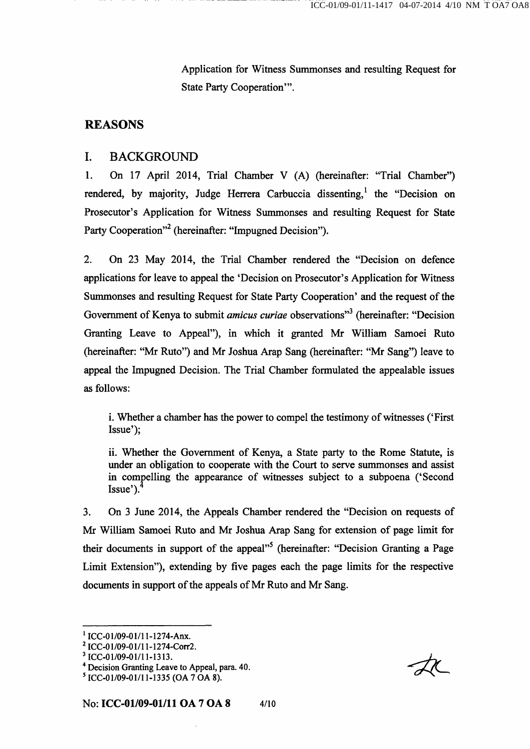Application for Witness Summonses and resulting Request for State Party Cooperation'".

# REASONS

# I. BACKGROUND

1. On 17 April 2014, Trial Chamber V (A) (hereinafter: "Trial Chamber") rendered, by majority, Judge Herrera Carbuccia dissenting,<sup>1</sup> the "Decision on Prosecutor's Application for Witness Summonses and resulting Request for State Party Cooperation"<sup>2</sup> (hereinafter: "Impugned Decision").

2. On 23 May 2014, the Trial Chamber rendered the "Decision on defence applications for leave to appeal the 'Decision on Prosecutor's Application for Witness Summonses and resulting Request for State Party Cooperation' and the request of the Government of Kenya to submit *amicus curiae* observations"<sup>3</sup> (hereinafter: "Decision Granting Leave to Appeal"), in which it granted Mr William Samoei Ruto (hereinafter: "Mr Ruto") and Mr Joshua Arap Sang (hereinafter: "Mr Sang") leave to appeal the Impugned Decision. The Trial Chamber formulated the appealable issues as follows:

i. Whether a chamber has the power to compel the testimony of witnesses ('First Issue');

ii. Whether the Govemment of Kenya, a State party to the Rome Statute, is under an obligation to cooperate with the Court to serve summonses and assist in compelling the appearance of witnesses subject to a subpoena ('Second  $Issue$ <sup>'</sup>). $\dot{I}$ 

3. On 3 June 2014, the Appeals Chamber rendered the "Decision on requests of Mr William Samoei Ruto and Mr Joshua Arap Sang for extension of page limit for their documents in support of the appeal"<sup>5</sup> (hereinafter: "Decision Granting a Page Limit Extension"), extending by five pages each the page limits for the respective documents in support of the appeals of Mr Ruto and Mr Sang.

 $1$  ICC-01/09-01/11-1274-Anx.

<sup>2</sup> ICC-01/09-01/1 l-1274-Corr2.

<sup>&</sup>lt;sup>3</sup> ICC-01/09-01/11-1313.

<sup>&</sup>lt;sup>4</sup> Decision Granting Leave to Appeal, para. 40.

<sup>^</sup> ICC-01/09-01/11-1335 (OA 7 OA 8).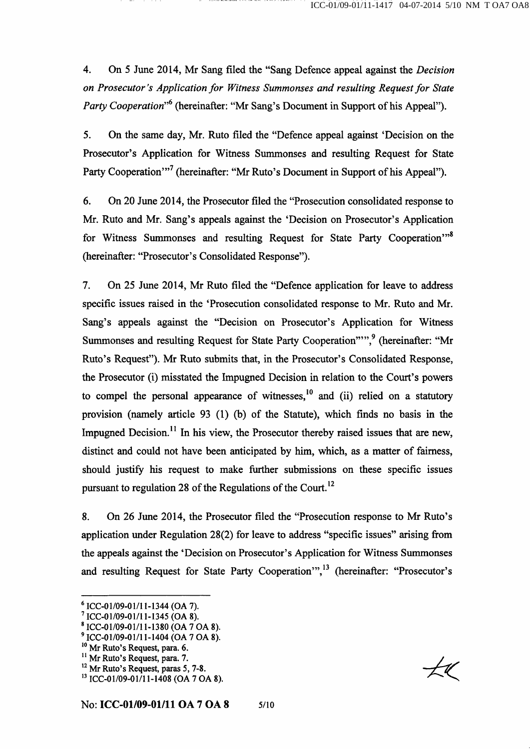4. On 5 June 2014, Mr Sang filed the "Sang Defence appeal against the Decision on Prosecutor's Application for Witness Summonses and resulting Request for State Party Cooperation<sup>"6</sup> (hereinafter: "Mr Sang's Document in Support of his Appeal").

5. On the same day, Mr. Ruto filed the "Defence appeal against 'Decision on the Prosecutor's Application for Witness Summonses and resulting Request for State Party Cooperation"<sup>7</sup> (hereinafter: "Mr Ruto's Document in Support of his Appeal").

6. On 20 June 2014, the Prosecutor filed the "Prosecution consolidated response to Mr. Ruto and Mr. Sang's appeals against the 'Decision on Prosecutor's Application for Witness Summonses and resulting Request for State Party Cooperation'"<sup>8</sup> (hereinafter: "Prosecutor's Consolidated Response").

7. On 25 June 2014, Mr Ruto filed the "Defence application for leave to address specific issues raised in the 'Prosecution consolidated response to Mr. Ruto and Mr. Sang's appeals against the "Decision on Prosecutor's Application for Witness Summonses and resulting Request for State Party Cooperation"",<sup>9</sup> (hereinafter: "Mr Ruto's Request"). Mr Ruto submits that, in the Prosecutor's Consolidated Response, the Prosecutor (i) misstated the Impugned Decision in relation to the Court's powers to compel the personal appearance of witnesses,  $^{10}$  and (ii) relied on a statutory provision (namely article 93 (1) (b) of the Statute), which finds no basis in the Impugned Decision.<sup>11</sup> In his view, the Prosecutor thereby raised issues that are new, distinct and could not have been anticipated by him, which, as a matter of fairness, should justify his request to make further submissions on these specific issues pursuant to regulation 28 of the Regulations of the Court.<sup>12</sup>

8. On 26 June 2014, the Prosecutor filed the "Prosecution response to Mr Ruto's application under Regulation 28(2) for leave to address "specific issues" arising from the appeals against the 'Decision on Prosecutor's Application for Witness Summonses and resulting Request for State Party Cooperation",<sup>13</sup> (hereinafter: "Prosecutor's

<sup>^</sup> ICC-01/09-01/11-1344 (OA 7).

 $^7$  ICC-01/09-01/11-1345 (OA 8).

 $^8$  ICC-01/09-01/11-1380 (OA 7 OA 8).

<sup>&</sup>lt;sup>9</sup> ICC-01/09-01/11-1404 (OA 7 OA 8).

<sup>&</sup>lt;sup>10</sup> Mr Ruto's Request, para. 6.

 $<sup>11</sup>$  Mr Ruto's Request, para. 7.</sup>

 $^{12}$  Mr Ruto's Request, paras 5, 7-8.

<sup>&</sup>lt;sup>13</sup> ICC-01/09-01/11-1408 (OA 7 OA 8).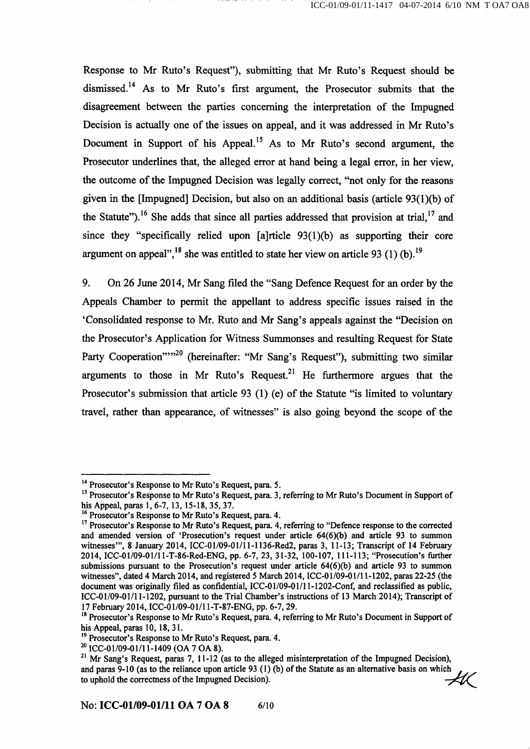Response to Mr Ruto's Request"), submitting that Mr Ruto's Request should be dismissed.<sup>14</sup> As to Mr Ruto's first argument, the Prosecutor submits that the disagreement between the parties conceming the interpretation of the Impugned Decision is actually one of the issues on appeal, and it was addressed in Mr Ruto's Document in Support of his Appeal.<sup>15</sup> As to Mr Ruto's second argument, the Prosecutor underlines that, the alleged error at hand being a legal error, in her view, the outcome of the Impugned Decision was legally correct, "not only for the reasons given in the [Impugned] Decision, but also on an additional basis (article 93(l)(b) of the Statute").<sup>16</sup> She adds that since all parties addressed that provision at trial,  $^{17}$  and since they "specifically relied upon  $[a]$ rticle  $93(1)(b)$  as supporting their core argument on appeal",<sup>18</sup> she was entitled to state her view on article 93 (1) (b).<sup>19</sup>

9. On 26 June 2014, Mr Sang filed the "Sang Defence Request for an order by the Appeals Chamber to permit the appellant to address specific issues raised in the 'Consolidated response to Mr. Ruto and Mr Sang's appeals against the "Decision on the Prosecutor's Application for Witness Summonses and resulting Request for State Party Cooperation""<sup>20</sup> (hereinafter: "Mr Sang's Request"), submitting two similar arguments to those in Mr Ruto's Request.<sup>21</sup> He furthermore argues that the Prosecutor's submission that article 93 (1) (e) of the Statute "is limited to voluntary travel, rather than appearance, of witnesses" is also going beyond the scope of the

<sup>&</sup>lt;sup>14</sup> Prosecutor's Response to Mr Ruto's Request, para. 5.

<sup>&</sup>lt;sup>15</sup> Prosecutor's Response to Mr Ruto's Request, para. 3, referring to Mr Ruto's Document in Support of his Appeal, paras 1, 6-7, 13, 15-18, 35, 37.

<sup>&</sup>lt;sup>16</sup> Prosecutor's Response to Mr Ruto's Request, para. 4.

<sup>&</sup>lt;sup>17</sup> Prosecutor's Response to Mr Ruto's Request, para. 4, referring to "Defence response to the corrected and amended version of 'Prosecution's request under article 64(6)(b) and article 93 to summon witnesses'", 8 January 2014, ICC-01/09-01/11-1136-Red2, paras 3, 11-13; Transcript of 14 February 2014, ICC-01/09-01/1 l-T-86-Red-ENG, pp. 6-7, 23, 31-32, 100-107, 111-113; "Prosecution's further submissions pursuant to the Prosecution's request under article 64(6)(b) and article 93 to summon witnesses", dated 4 March 2014, and registered 5 March 2014, ICC-01/09-01/11-1202, paras 22-25 (the document was originally filed as confidential, ICC-01/09-01/11-1202-Conf, and reclassified as public, ICC-01/09-01/11-1202, pursuant to the Trial Chamber's instructions of 13 March 2014); Transcript of 17 February 2014, ICC-01/09-01/11-T-87-ENG, pp. 6-7, 29.

<sup>&</sup>lt;sup>18</sup> Prosecutor's Response to Mr Ruto's Request, para. 4, referring to Mr Ruto's Document in Support of his Appeal, paras 10, 18, 31.

<sup>&</sup>lt;sup>19</sup> Prosecutor's Response to Mr Ruto's Request, para. 4.

 $^{20}$  ICC-01/09-01/11-1409 (OA 7 OA 8).

<sup>&</sup>lt;sup>21</sup> Mr Sang's Request, paras 7, 11-12 (as to the alleged misinterpretation of the Impugned Decision), and paras 9-10 (as to the reliance upon article 93 (1) (b) of the Statute as an alternative basis on which to uphold the correctness of the Impugned Decision). to uphold the correctness of the Impugned Decision).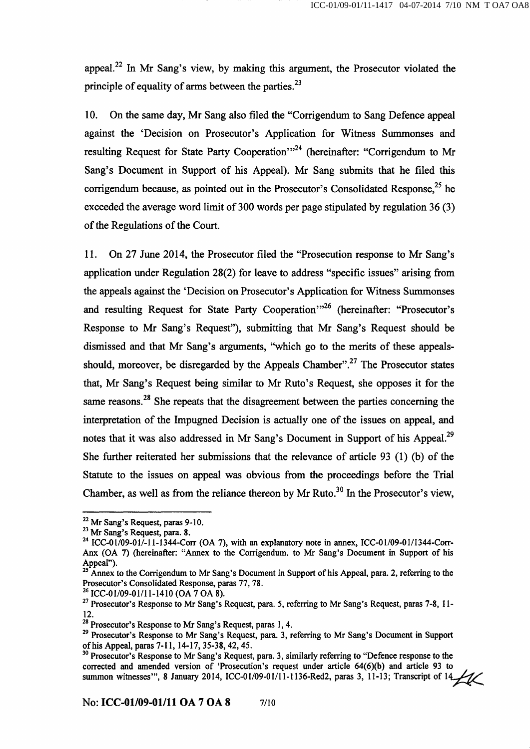appeal.<sup>22</sup> In Mr Sang's view, by making this argument, the Prosecutor violated the principle of equality of arms between the parties.  $2<sup>3</sup>$ principle of equality of arms between the parties.^^

10. On the same day, Mr Sang also filed the "Corrigendum to Sang Defence appeal against the 'Decision on Prosecutor's Application for Witness Summonses and resulting Request for State Party Cooperation'"<sup>24</sup> (hereinafter: "Corrigendum to Mr Sang's Document in Support of his Appeal). Mr Sang submits that he filed this corrigendum because, as pointed out in the Prosecutor's Consolidated Response.<sup>25</sup> he exceeded the average word limit of 300 words per page stipulated by regulation 36 (3) of the Regulations of the Court.

11. On 27 June 2014, the Prosecutor filed the "Prosecution response to Mr Sang's application under Regulation 28(2) for leave to address "specific issues" arising from the appeals against the 'Decision on Prosecutor's Application for Witness Summonses and resulting Request for State Party Cooperation<sup>"<sup>26</sup> (hereinafter: "Prosecutor's</sup> Response to Mr Sang's Request"), submitting that Mr Sang's Request should be dismissed and that Mr Sang's arguments, "which go to the merits of these appealsshould, moreover, be disregarded by the Appeals Chamber".<sup>27</sup> The Prosecutor states that, Mr Sang's Request being similar to Mr Ruto's Request, she opposes it for the same reasons.<sup>28</sup> She repeats that the disagreement between the parties concerning the interpretation of the Impugned Decision is actually one of the issues on appeal, and interpretation of the Impulse of the Impulse one of the issues one of the issues one of the issues one of the i 90 She further reiterated her submissions that the relevance of article 93  $(1)$  (b) of the Statute to the issues on appeal was obvious from the proceedings before the Trial Chamber, as well as from the reliance thereon by Mr Ruto.<sup>30</sup> In the Prosecutor's view,

Chamber, as well as from the reliance thereon by Mr Ruto."^^ In the Prosecutor's view.

 $^{22}$  Mr Sang's Request, paras 9-10.

<sup>&</sup>lt;sup>23</sup> Mr Sang's Request, para. 8.

 $^{24}$  ICC-01/09-01/-11-1344-Corr (OA 7), with an explanatory note in annex, ICC-01/09-01/1344-Corr-Anx (OA 7) (hereinafter: "Annex to the Corrigendum, to Mr Sang's Document in Support of his Appeal").

 $^2$  Annex to the Corrigendum to Mr Sang's Document in Support of his Appeal, para. 2, referring to the Prosecutor's Consolidated Response, paras 77, 78.

 $^{26}$  ICC-01/09-01/11-1410 (OA 7 OA 8).

<sup>&</sup>lt;sup>27</sup> Prosecutor's Response to Mr Sang's Request, para. 5, referring to Mr Sang's Request, paras 7-8, 11-12.

<sup>&</sup>lt;sup>28</sup> Prosecutor's Response to Mr Sang's Request, paras 1, 4.

<sup>&</sup>lt;sup>29</sup> Prosecutor's Response to Mr Sang's Request, para. 3, referring to Mr Sang's Document in Support of his Appeal, paras 7-11, 14-17, 35-38,42,45.

<sup>&</sup>lt;sup>30</sup> Prosecutor's Response to Mr Sang's Request, para. 3, similarly referring to "Defence response to the corrected and amended version of 'Prosecution's request under article 64(6)(b) and article 93 to summon witnesses", 8 January 2014, ICC-01/09-01/11-1136-Red2, paras 3, 11-13; Transcript of 14.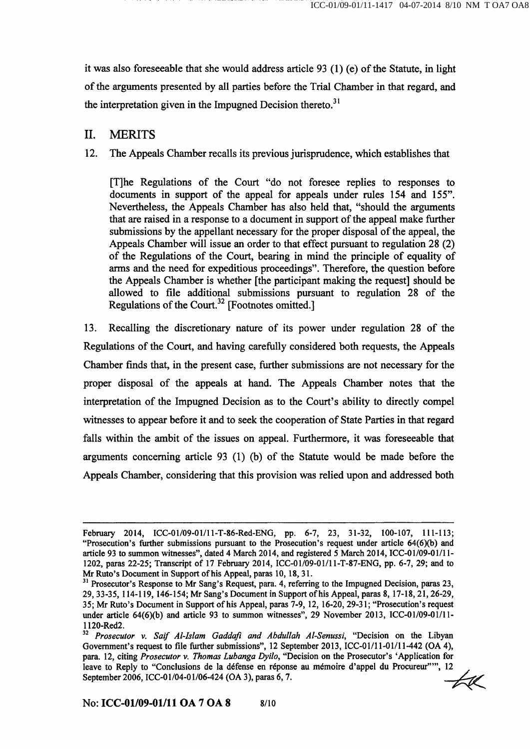it was also foreseeable that she would address article  $93$  (1) (e) of the Statute, in light of the arguments presented by all parties before the Trial Chamber in that regard, and the interpretation given in the Impugned Decision thereto.<sup>31</sup>

## II. MERITS

### 12. The Appeals Chamber recalls its previous jurisprudence, which establishes that

[T]he Regulations of the Court "do not foresee replies to responses to documents in support of the appeal for appeals under rules 154 and 155". Nevertheless, the Appeals Chamber has also held that, "should the arguments that are raised in a response to a document in support of the appeal make further submissions by the appellant necessary for the proper disposal of the appeal, the Appeals Chamber will issue an order to that effect pursuant to regulation 28 (2) of the Regulations of the Court, bearing in mind the principle of equality of arms and the need for expeditious proceedings". Therefore, the question before the Appeals Chamber is whether [the participant making the request] should be allowed to file additional submissions pursuant to regulation 28 of the Regulations of the Court.<sup>32</sup> [Footnotes omitted.]

13. Recalling the discretionary nature of its power under regulation 28 of the Regulations of the Court, and having carefiiUy considered both requests, the Appeals Chamber finds that, in the present case, further submissions are not necessary for the proper disposal of the appeals at hand. The Appeals Chamber notes that the interpretation of the Impugned Decision as to the Court's ability to directly compel witnesses to appear before it and to seek the cooperation of State Parties in that regard falls within the ambit of the issues on appeal. Furthermore, it was foreseeable that arguments conceming article 93 (1) (b) of the Statute would be made before the Appeals Chamber, considering that this provision was relied upon and addressed both

February 2014, ICC-01/09-01/11-T-86-Red-ENG, pp. 6-7, 23, 31-32, 100-107, 111-113; "Prosecution's further submissions pursuant to the Prosecution's request under article  $64(6)(b)$  and article 93 to summon witnesses", dated 4 March 2014, and registered 5 March 2014, ICC-01/09-01/11- 1202, paras 22-25; Transcript of 17 February 2014, ICC-01/09-01/11-T-87-ENG, pp. 6-7, 29; and to Mr Ruto's Document in Support of his Appeal, paras 10, 18, 31.

<sup>&</sup>lt;sup>31</sup> Prosecutor's Response to Mr Sang's Request, para. 4, referring to the Impugned Decision, paras 23, 29, 33-35, 114-119, 146-154; Mr Sang's Document in Support of his Appeal, paras 8, 17-18, 21,26-29, 35; Mr Ruto's Document in Support of his Appeal, paras 7-9, 12, 16-20, 29-31; "Prosecution's request under article 64(6)(b) and article 93 to summon witnesses", 29 November 2013, ICC-01/09-01/11-1120-Red2.

<sup>&</sup>lt;sup>32</sup> Prosecutor v. Saif Al-Islam Gaddafi and Abdullah Al-Senussi, "Decision on the Libyan Govemment's request to file further submissions", 12 September 2013, ICC-01/11-01/11-442 (OA 4), para. 12, citing Prosecutor v. Thomas Lubanga Dyilo, "Decision on the Prosecutor's 'Application for leave to Reply to "Conclusions de la défense en réponse au mémoire d'appel du Procureur'"", 12 September 2006, ICC-01/04-01/06-424 (OA 3), paras 6, 7.  $\leftarrow$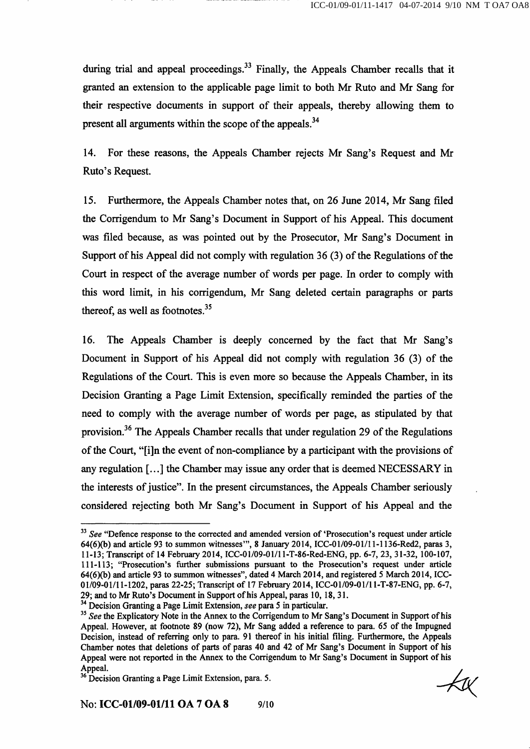during trial and appeal proceedings.<sup>33</sup> Finally, the Appeals Chamber recalls that it granted an extension to the applicable page limit to both Mr Ruto and Mr Sang for their respective documents in support of their appeals, thereby allowing them to present all arguments within the scope of the appeals. $^{34}$ 

14. For these reasons, the Appeals Chamber rejects Mr Sang's Request and Mr Ruto's Request.

15. Furthermore, the Appeals Chamber notes that, on 26 June 2014, Mr Sang filed the Corrigendum to Mr Sang's Document in Support of his Appeal. This document was filed because, as was pointed out by the Prosecutor, Mr Sang's Document in Support of his Appeal did not comply with regulation  $36(3)$  of the Regulations of the Court in respect of the average number of words per page. In order to comply with this word limit, in his corrigendum, Mr Sang deleted certain paragraphs or parts thereof, as well as footnotes. $35$ 

16. The Appeals Chamber is deeply concerned by the fact that Mr Sang's Document in Support of his Appeal did not comply with regulation 36 (3) of the Regulations of the Court. This is even more so because the Appeals Chamber, in its Decision Granting a Page Limit Extension, specifically reminded the parties of the need to comply with the average number of words per page, as stipulated by that provision.<sup>36</sup> The Appeals Chamber recalls that under regulation 29 of the Regulations of the Court, "[i]n the event of non-compliance by a participant with the provisions of any regulation [...] the Chamber may issue any order that is deemed NECESSARY in the interests of justice". In the present circumstances, the Appeals Chamber seriously considered rejecting both Mr Sang's Document in Support of his Appeal and the

<sup>34</sup> Decision Granting a Page Limit Extension, see para 5 in particular.

 $\rightarrow$ 

 $33$  See "Defence response to the corrected and amended version of 'Prosecution's request under article 64(6)(b) and article 93 to summon witnesses'", 8 January 2014, ICC-01/09-01/11-1136-Red2, paras 3, 11-13; Transcript of 14 February 2014, ICC-01/09-01/1 l-T-86-Red-ENG, pp. 6-7, 23, 31-32, 100-107, 111-113; "Prosecution's further submissions pursuant to the Prosecution's request under article 64(6)(b) and article 93 to summon witnesses", dated 4 March 2014, and registered 5 March 2014, ICC-01/09-01/1 1-1202, paras 22-25; Transcript of 17 February 2014, ICC-01/09-01/11-T-87-ENG, pp. 6-7, 29; and to Mr Ruto's Document in Support of his Appeal, paras 10, 18, 31.

<sup>&</sup>lt;sup>35</sup> See the Explicatory Note in the Annex to the Corrigendum to Mr Sang's Document in Support of his Appeal. However, at footnote 89 (now 72), Mr Sang added a reference to para. 65 of the Impugned Decision, instead of referring only to para. 91 thereof in his initial filing. Furthermore, the Appeals Chamber notes that deletions of parts of paras 40 and 42 of Mr Sang's Document in Support of his Appeal were not reported in the Annex to the Corrigendum to Mr Sang's Document in Support of his Appeal.

<sup>&</sup>lt;sup>36</sup> Decision Granting a Page Limit Extension, para. 5.